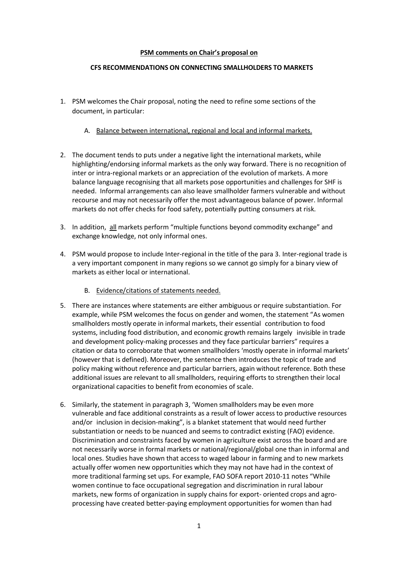## **PSM comments on Chair's proposal on**

## **CFS RECOMMENDATIONS ON CONNECTING SMALLHOLDERS TO MARKETS**

- 1. PSM welcomes the Chair proposal, noting the need to refine some sections of the document, in particular:
	- A. Balance between international, regional and local and informal markets.
- 2. The document tends to puts under a negative light the international markets, while highlighting/endorsing informal markets as the only way forward. There is no recognition of inter or intra-regional markets or an appreciation of the evolution of markets. A more balance language recognising that all markets pose opportunities and challenges for SHF is needed. Informal arrangements can also leave smallholder farmers vulnerable and without recourse and may not necessarily offer the most advantageous balance of power. Informal markets do not offer checks for food safety, potentially putting consumers at risk.
- 3. In addition, all markets perform "multiple functions beyond commodity exchange" and exchange knowledge, not only informal ones.
- 4. PSM would propose to include Inter-regional in the title of the para 3. Inter-regional trade is a very important component in many regions so we cannot go simply for a binary view of markets as either local or international.
	- B. Evidence/citations of statements needed.
- 5. There are instances where statements are either ambiguous or require substantiation. For example, while PSM welcomes the focus on gender and women, the statement "As women smallholders mostly operate in informal markets, their essential contribution to food systems, including food distribution, and economic growth remains largely invisible in trade and development policy-making processes and they face particular barriers" requires a citation or data to corroborate that women smallholders 'mostly operate in informal markets' (however that is defined). Moreover, the sentence then introduces the topic of trade and policy making without reference and particular barriers, again without reference. Both these additional issues are relevant to all smallholders, requiring efforts to strengthen their local organizational capacities to benefit from economies of scale.
- 6. Similarly, the statement in paragraph 3, 'Women smallholders may be even more vulnerable and face additional constraints as a result of lower access to productive resources and/or inclusion in decision-making", is a blanket statement that would need further substantiation or needs to be nuanced and seems to contradict existing (FAO) evidence. Discrimination and constraints faced by women in agriculture exist across the board and are not necessarily worse in formal markets or national/regional/global one than in informal and local ones. Studies have shown that access to waged labour in farming and to new markets actually offer women new opportunities which they may not have had in the context of more traditional farming set ups. For example, FAO SOFA report 2010-11 notes "While women continue to face occupational segregation and discrimination in rural labour markets, new forms of organization in supply chains for export- oriented crops and agroprocessing have created better-paying employment opportunities for women than had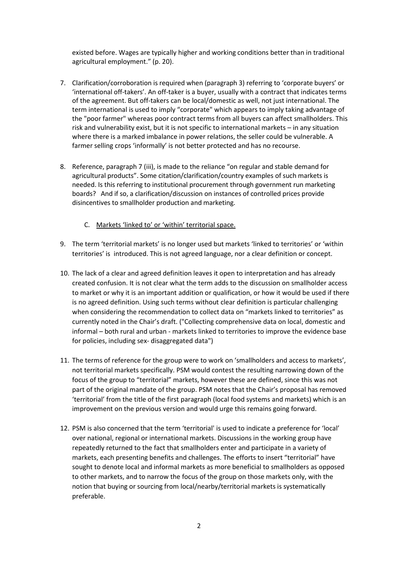existed before. Wages are typically higher and working conditions better than in traditional agricultural employment." (p. 20).

- 7. Clarification/corroboration is required when (paragraph 3) referring to 'corporate buyers' or 'international off-takers'. An off-taker is a buyer, usually with a contract that indicates terms of the agreement. But off-takers can be local/domestic as well, not just international. The term international is used to imply "corporate" which appears to imply taking advantage of the "poor farmer" whereas poor contract terms from all buyers can affect smallholders. This risk and vulnerability exist, but it is not specific to international markets – in any situation where there is a marked imbalance in power relations, the seller could be vulnerable. A farmer selling crops 'informally' is not better protected and has no recourse.
- 8. Reference, paragraph 7 (iii), is made to the reliance "on regular and stable demand for agricultural products". Some citation/clarification/country examples of such markets is needed. Is this referring to institutional procurement through government run marketing boards? And if so, a clarification/discussion on instances of controlled prices provide disincentives to smallholder production and marketing.
	- C. Markets 'linked to' or 'within' territorial space.
- 9. The term 'territorial markets' is no longer used but markets 'linked to territories' or 'within territories' is introduced. This is not agreed language, nor a clear definition or concept.
- 10. The lack of a clear and agreed definition leaves it open to interpretation and has already created confusion. It is not clear what the term adds to the discussion on smallholder access to market or why it is an important addition or qualification, or how it would be used if there is no agreed definition. Using such terms without clear definition is particular challenging when considering the recommendation to collect data on "markets linked to territories" as currently noted in the Chair's draft. ("Collecting comprehensive data on local, domestic and informal – both rural and urban - markets linked to territories to improve the evidence base for policies, including sex- disaggregated data")
- 11. The terms of reference for the group were to work on 'smallholders and access to markets', not territorial markets specifically. PSM would contest the resulting narrowing down of the focus of the group to "territorial" markets, however these are defined, since this was not part of the original mandate of the group. PSM notes that the Chair's proposal has removed 'territorial' from the title of the first paragraph (local food systems and markets) which is an improvement on the previous version and would urge this remains going forward.
- 12. PSM is also concerned that the term 'territorial' is used to indicate a preference for 'local' over national, regional or international markets. Discussions in the working group have repeatedly returned to the fact that smallholders enter and participate in a variety of markets, each presenting benefits and challenges. The efforts to insert "territorial" have sought to denote local and informal markets as more beneficial to smallholders as opposed to other markets, and to narrow the focus of the group on those markets only, with the notion that buying or sourcing from local/nearby/territorial markets is systematically preferable.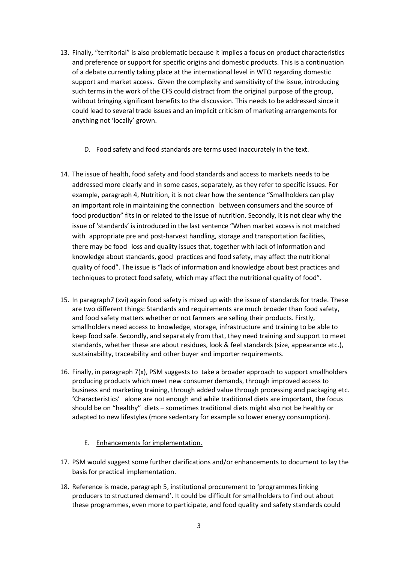13. Finally, "territorial" is also problematic because it implies a focus on product characteristics and preference or support for specific origins and domestic products. This is a continuation of a debate currently taking place at the international level in WTO regarding domestic support and market access. Given the complexity and sensitivity of the issue, introducing such terms in the work of the CFS could distract from the original purpose of the group, without bringing significant benefits to the discussion. This needs to be addressed since it could lead to several trade issues and an implicit criticism of marketing arrangements for anything not 'locally' grown.

## D. Food safety and food standards are terms used inaccurately in the text.

- 14. The issue of health, food safety and food standards and access to markets needs to be addressed more clearly and in some cases, separately, as they refer to specific issues. For example, paragraph 4, Nutrition, it is not clear how the sentence "Smallholders can play an important role in maintaining the connection between consumers and the source of food production" fits in or related to the issue of nutrition. Secondly, it is not clear why the issue of 'standards' is introduced in the last sentence "When market access is not matched with appropriate pre and post-harvest handling, storage and transportation facilities, there may be food loss and quality issues that, together with lack of information and knowledge about standards, good practices and food safety, may affect the nutritional quality of food". The issue is "lack of information and knowledge about best practices and techniques to protect food safety, which may affect the nutritional quality of food".
- 15. In paragraph7 (xvi) again food safety is mixed up with the issue of standards for trade. These are two different things: Standards and requirements are much broader than food safety, and food safety matters whether or not farmers are selling their products. Firstly, smallholders need access to knowledge, storage, infrastructure and training to be able to keep food safe. Secondly, and separately from that, they need training and support to meet standards, whether these are about residues, look & feel standards (size, appearance etc.), sustainability, traceability and other buyer and importer requirements.
- 16. Finally, in paragraph 7(x), PSM suggests to take a broader approach to support smallholders producing products which meet new consumer demands, through improved access to business and marketing training, through added value through processing and packaging etc. 'Characteristics' alone are not enough and while traditional diets are important, the focus should be on "healthy" diets – sometimes traditional diets might also not be healthy or adapted to new lifestyles (more sedentary for example so lower energy consumption).
	- E. Enhancements for implementation.
- 17. PSM would suggest some further clarifications and/or enhancements to document to lay the basis for practical implementation.
- 18. Reference is made, paragraph 5, institutional procurement to 'programmes linking producers to structured demand'. It could be difficult for smallholders to find out about these programmes, even more to participate, and food quality and safety standards could